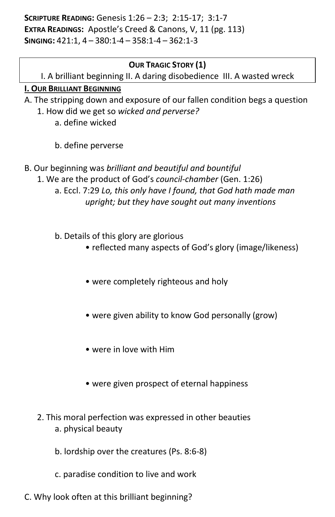**SCRIPTURE READING:** Genesis 1:26 – 2:3; 2:15-17; 3:1-7 **EXTRA READINGS:** Apostle's Creed & Canons, V, 11 (pg. 113) **SINGING:** 421:1, 4 – 380:1-4 – 358:1-4 – 362:1-3

## **OUR TRAGIC STORY (1)**

I. A brilliant beginning II. A daring disobedience III. A wasted wreck

## **I. OUR BRILLIANT BEGINNING**

A. The stripping down and exposure of our fallen condition begs a question 1. How did we get so *wicked and perverse?* 

- a. define wicked
- b. define perverse
- B. Our beginning was *brilliant and beautiful and bountiful* 
	- 1. We are the product of God's *council-chamber* (Gen. 1:26) a. Eccl. 7:29 *Lo, this only have I found, that God hath made man upright; but they have sought out many inventions*
		- b. Details of this glory are glorious
			- reflected many aspects of God's glory (image/likeness)
			- were completely righteous and holy
			- were given ability to know God personally (grow)
			- were in love with Him
			- were given prospect of eternal happiness
	- 2. This moral perfection was expressed in other beauties a. physical beauty
		- b. lordship over the creatures (Ps. 8:6-8)
		- c. paradise condition to live and work
- C. Why look often at this brilliant beginning?